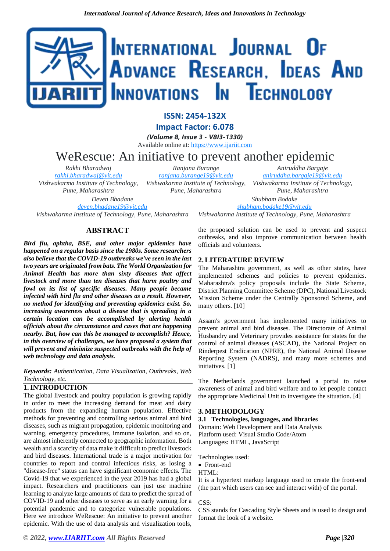# INTERNATIONAL JOURNAL OF ADVANCE RESEARCH, IDEAS AND Innovations In Technology

**ISSN: 2454-132X**

**Impact Factor: 6.078**

*(Volume 8, Issue 3 - V8I3-1330)*

Available online at: [https://www.ijariit.com](https://www.ijariit.com/?utm_source=pdf&utm_medium=edition&utm_campaign=OmAkSols&utm_term=V8I3-1330)

## WeRescue: An initiative to prevent another epidemic *Ranjana Burange*

*Rakhi Bharadwaj [rakhi.bharadwaj@vit.edu](mailto:rakhi.bharadwaj@vit.edu) Vishwakarma Institute of Technology, Pune, Maharashtra Deven Bhadane [deven.bhadane19@vit.edu](mailto:deven.bhadane19@vit.edu)*

*[ranjana.burange19@vit.edu](mailto:ranjana.burange19@vit.edu) Vishwakarma Institute of Technology, Pune, Maharashtra*

*Aniruddha Bargaje [aniruddha.bargaje19@vit.edu](mailto:aniruddha.bargaje19@vit.edu) Vishwakarma Institute of Technology, Pune, Maharashtra Shubham Bodake*

*[shubham.bodake19@vit.edu](mailto:shubham.bodake19@vit.edu)*

*Vishwakarma Institute of Technology, Pune, Maharashtra*

## **ABSTRACT**

*Vishwakarma Institute of Technology, Pune, Maharashtra*

*Bird flu, aphtha, BSE, and other major epidemics have happened on a regular basis since the 1980s. Some researchers also believe that the COVID-19 outbreaks we've seen in the last two years are originated from bats. The World Organization for Animal Health has more than sixty diseases that affect livestock and more than ten diseases that harm poultry and fowl on its list of specific diseases. Many people became infected with bird flu and other diseases as a result. However, no method for identifying and preventing epidemics exist. So, increasing awareness about a disease that is spreading in a certain location can be accomplished by alerting health officials about the circumstance and cases that are happening nearby. But, how can this be managed to accomplish? Hence, in this overview of challenges, we have proposed a system that will prevent and minimize suspected outbreaks with the help of web technology and data analysis.*

*Keywords: Authentication, Data Visualization, Outbreaks, Web Technology, etc.*

## **1.INTRODUCTION**

The global livestock and poultry population is growing rapidly in order to meet the increasing demand for meat and dairy products from the expanding human population. Effective methods for preventing and controlling serious animal and bird diseases, such as migrant propagation, epidemic monitoring and warning, emergency procedures, immune isolation, and so on, are almost inherently connected to geographic information. Both wealth and a scarcity of data make it difficult to predict livestock and bird diseases. International trade is a major motivation for countries to report and control infectious risks, as losing a "disease-free" status can have significant economic effects. The Covid-19 that we experienced in the year 2019 has had a global impact. Researchers and practitioners can just use machine learning to analyze large amounts of data to predict the spread of COVID-19 and other diseases to serve as an early warning for a potential pandemic and to categorize vulnerable populations. Here we introduce WeRescue: An initiative to prevent another epidemic. With the use of data analysis and visualization tools,

the proposed solution can be used to prevent and suspect outbreaks, and also improve communication between health officials and volunteers.

## **2.LITERATURE REVIEW**

The Maharashtra government, as well as other states, have implemented schemes and policies to prevent epidemics. Maharashtra's policy proposals include the State Scheme, District Planning Committee Scheme (DPC), National Livestock Mission Scheme under the Centrally Sponsored Scheme, and many others. [10]

Assam's government has implemented many initiatives to prevent animal and bird diseases. The Directorate of Animal Husbandry and Veterinary provides assistance for states for the control of animal diseases (ASCAD), the National Project on Rinderpest Eradication (NPRE), the National Animal Disease Reporting System (NADRS), and many more schemes and initiatives. [1]

The Netherlands government launched a portal to raise awareness of animal and bird welfare and to let people contact the appropriate Medicinal Unit to investigate the situation. [4]

## **3. METHODOLOGY**

#### **3.1 Technologies, languages, and libraries**

Domain: Web Development and Data Analysis Platform used: Visual Studio Code/Atom Languages: HTML, JavaScript

Technologies used:

• Front-end

### HTML:

It is a hypertext markup language used to create the front-end (the part which users can see and interact with) of the portal.

CSS:

CSS stands for Cascading Style Sheets and is used to design and format the look of a website.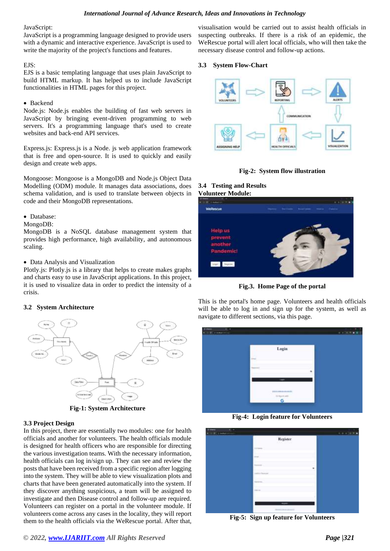#### *International Journal of Advance Research, Ideas and Innovations in Technology*

JavaScript:

JavaScript is a programming language designed to provide users with a dynamic and interactive experience. JavaScript is used to write the majority of the project's functions and features.

#### EJS:

EJS is a basic templating language that uses plain JavaScript to build HTML markup. It has helped us to include JavaScript functionalities in HTML pages for this project.

#### • Backend

Node.js: Node.js enables the building of fast web servers in JavaScript by bringing event-driven programming to web servers. It's a programming language that's used to create websites and back-end API services.

Express.js: Express.js is a Node. js web application framework that is free and open-source. It is used to quickly and easily design and create web apps.

Mongoose: Mongoose is a MongoDB and Node.js Object Data Modelling (ODM) module. It manages data associations, does schema validation, and is used to translate between objects in code and their MongoDB representations.

#### • Database:

#### MongoDB:

MongoDB is a NoSQL database management system that provides high performance, high availability, and autonomous scaling.

#### • Data Analysis and Visualization

Plotly.js: Plotly.js is a library that helps to create makes graphs and charts easy to use in JavaScript applications. In this project, it is used to visualize data in order to predict the intensity of a crisis.

#### **3.2 System Architecture**



**Fig-1: System Architecture**

#### **3.3 Project Design**

In this project, there are essentially two modules: one for health officials and another for volunteers. The health officials module is designed for health officers who are responsible for directing the various investigation teams. With the necessary information, health officials can log in/sign up. They can see and review the posts that have been received from a specific region after logging into the system. They will be able to view visualization plots and charts that have been generated automatically into the system. If they discover anything suspicious, a team will be assigned to investigate and then Disease control and follow-up are required. Volunteers can register on a portal in the volunteer module. If volunteers come across any cases in the locality, they will report them to the health officials via the WeRescue portal. After that,

visualisation would be carried out to assist health officials in suspecting outbreaks. If there is a risk of an epidemic, the WeRescue portal will alert local officials, who will then take the necessary disease control and follow-up actions.

#### **3.3 System Flow-Chart**





## **3.4 Testing and Results Volunteer Module:**



**Fig.3. Home Page of the portal**

This is the portal's home page. Volunteers and health officials will be able to log in and sign up for the system, as well as navigate to different sections, via this page.

| Login       |              |
|-------------|--------------|
| ÷           |              |
|             |              |
|             |              |
| <b>STEP</b> |              |
|             | $1 - 1$<br>G |

**Fig-4: Login feature for Volunteers**

| ${\bf \textit{Reginter}}$ |  |
|---------------------------|--|
|                           |  |
|                           |  |
|                           |  |
|                           |  |
|                           |  |
| <b>Internet</b>           |  |
|                           |  |
| -<br><b>CONTRACTOR</b>    |  |

**Fig-5: Sign up feature for Volunteers**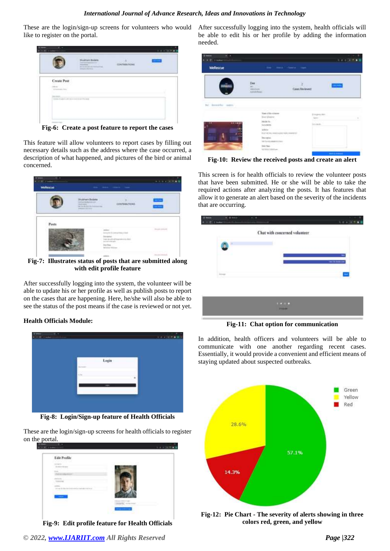These are the login/sign-up screens for volunteers who would like to register on the portal.



**Fig-6: Create a post feature to report the cases**

This feature will allow volunteers to report cases by filling out necessary details such as the address where the case occurred, a description of what happened, and pictures of the bird or animal concerned.

| <b>Wellescue</b> |                                                                                                                                | the man chart that |                    |
|------------------|--------------------------------------------------------------------------------------------------------------------------------|--------------------|--------------------|
|                  | <b><i><i><u><b>AT HET 3</b></u></i></i></b><br>they the right should be the first development and<br>to determine that several |                    |                    |
|                  |                                                                                                                                |                    | <b>Street Cold</b> |
|                  |                                                                                                                                | ---                |                    |

**Fig-7: Illustrates status of posts that are submitted along with edit profile feature**

After successfully logging into the system, the volunteer will be able to update his or her profile as well as publish posts to report on the cases that are happening. Here, he/she will also be able to see the status of the post means if the case is reviewed or not yet.

#### **Health Officials Module:**



**Fig-8: Login/Sign-up feature of Health Officials**

These are the login/sign-up screens for health officials to register on the portal.

| Edit Profile                                                               |  |
|----------------------------------------------------------------------------|--|
| <b>SCIENCE</b><br><b>THE REAL PROPERTY</b><br><b>CARL AND CARL AND AND</b> |  |
|                                                                            |  |
| man.                                                                       |  |
|                                                                            |  |
|                                                                            |  |
| _____                                                                      |  |
|                                                                            |  |

**Fig-9: Edit profile feature for Health Officials**

After successfully logging into the system, health officials will be able to edit his or her profile by adding the information needed.

| WeRetcue        | 1. Henry America College County                                                                                                                        |                               |
|-----------------|--------------------------------------------------------------------------------------------------------------------------------------------------------|-------------------------------|
| <b>COLORADO</b> | Des<br><b>TRUNK</b>                                                                                                                                    | Cases Beviewer<br>.           |
| kentaker many   | <b>Taxe of the suitainers</b><br><b>Betränger</b><br>Milita St.<br><b>Scientists</b><br>asker<br>BLC-8291 Herocoupes rates connected<br><b>Becamin</b> | Disease and<br><b>Several</b> |
|                 | THE SHIP GROUND END OF<br><b>SACTION</b>                                                                                                               |                               |

**Fig-10: Review the received posts and create an alert**

This screen is for health officials to review the volunteer posts that have been submitted. He or she will be able to take the required actions after analyzing the posts. It has features that allow it to generate an alert based on the severity of the incidents that are occurring.

|     | ٠                             |                |
|-----|-------------------------------|----------------|
|     | Chat with concerned volunteer |                |
| ×   |                               |                |
| - 7 |                               | <b>COLLEGE</b> |
|     |                               |                |
|     |                               |                |
|     |                               |                |
|     | <b>Band College</b><br>-      |                |

**Fig-11: Chat option for communication**

In addition, health officers and volunteers will be able to communicate with one another regarding recent cases. Essentially, it would provide a convenient and efficient means of staying updated about suspected outbreaks.



**Fig-12: Pie Chart - The severity of alerts showing in three colors red, green, and yellow**